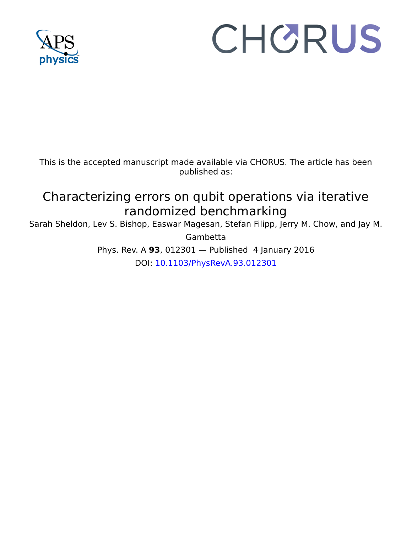

## CHORUS

This is the accepted manuscript made available via CHORUS. The article has been published as:

## Characterizing errors on qubit operations via iterative randomized benchmarking

Sarah Sheldon, Lev S. Bishop, Easwar Magesan, Stefan Filipp, Jerry M. Chow, and Jay M.

Gambetta

Phys. Rev. A **93**, 012301 — Published 4 January 2016

DOI: [10.1103/PhysRevA.93.012301](http://dx.doi.org/10.1103/PhysRevA.93.012301)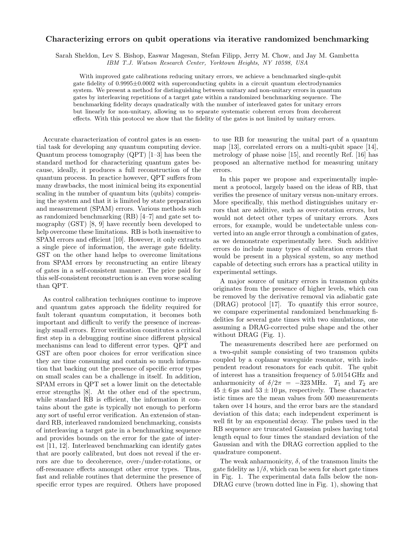## Characterizing errors on qubit operations via iterative randomized benchmarking

Sarah Sheldon, Lev S. Bishop, Easwar Magesan, Stefan Filipp, Jerry M. Chow, and Jay M. Gambetta

IBM T.J. Watson Research Center, Yorktown Heights, NY 10598, USA

With improved gate calibrations reducing unitary errors, we achieve a benchmarked single-qubit gate fidelity of 0.9995±0.0002 with superconducting qubits in a circuit quantum electrodynamics system. We present a method for distinguishing between unitary and non-unitary errors in quantum gates by interleaving repetitions of a target gate within a randomized benchmarking sequence. The benchmarking fidelity decays quadratically with the number of interleaved gates for unitary errors but linearly for non-unitary, allowing us to separate systematic coherent errors from decoherent effects. With this protocol we show that the fidelity of the gates is not limited by unitary errors.

Accurate characterization of control gates is an essential task for developing any quantum computing device. Quantum process tomography (QPT) [1–3] has been the standard method for characterizing quantum gates because, ideally, it produces a full reconstruction of the quantum process. In practice however, QPT suffers from many drawbacks, the most inimical being its exponential scaling in the number of quantum bits (qubits) comprising the system and that it is limited by state preparation and measurement (SPAM) errors. Various methods such as randomized benchmarking (RB) [4–7] and gate set tomography (GST) [8, 9] have recently been developed to help overcome these limitations. RB is both insensitive to SPAM errors and efficient [10]. However, it only extracts a single piece of information, the average gate fidelity. GST on the other hand helps to overcome limitations from SPAM errors by reconstructing an entire library of gates in a self-consistent manner. The price paid for this self-consistent reconstruction is an even worse scaling than QPT.

As control calibration techniques continue to improve and quantum gates approach the fidelity required for fault tolerant quantum computation, it becomes both important and difficult to verify the presence of increasingly small errors. Error verification constitutes a critical first step in a debugging routine since different physical mechanisms can lead to different error types. QPT and GST are often poor choices for error verification since they are time consuming and contain so much information that backing out the presence of specific error types on small scales can be a challenge in itself. In addition, SPAM errors in QPT set a lower limit on the detectable error strengths [8]. At the other end of the spectrum, while standard RB is efficient, the information it contains about the gate is typically not enough to perform any sort of useful error verification. An extension of standard RB, interleaved randomized benchmarking, consists of interleaving a target gate in a benchmarking sequence and provides bounds on the error for the gate of interest [11, 12]. Interleaved benchmarking can identify gates that are poorly calibrated, but does not reveal if the errors are due to decoherence, over-/under-rotations, or off-resonance effects amongst other error types. Thus, fast and reliable routines that determine the presence of specific error types are required. Others have proposed to use RB for measuring the unital part of a quantum map [13], correlated errors on a multi-qubit space [14], metrology of phase noise [15], and recently Ref. [16] has proposed an alternative method for measuring unitary errors.

In this paper we propose and experimentally implement a protocol, largely based on the ideas of RB, that verifies the presence of unitary versus non-unitary errors. More specifically, this method distinguishes unitary errors that are additive, such as over-rotation errors, but would not detect other types of unitary errors. Axes errors, for example, would be undetectable unless converted into an angle error through a combination of gates, as we demonstrate experimentally here. Such additive errors do include many types of calibration errors that would be present in a physical system, so any method capable of detecting such errors has a practical utility in experimental settings.

A major source of unitary errors in transmon qubits originates from the presence of higher levels, which can be removed by the derivative removal via adiabatic gate (DRAG) protocol [17]. To quantify this error source, we compare experimental randomized benchmarking fidelities for several gate times with two simulations, one assuming a DRAG-corrected pulse shape and the other without DRAG (Fig. 1).

The measurements described here are performed on a two-qubit sample consisting of two transmon qubits coupled by a coplanar waveguide resonator, with independent readout resonators for each qubit. The qubit of interest has a transition frequency of 5.0154 GHz and anharmonicity of  $\delta/2\pi$  = -323 MHz.  $T_1$  and  $T_2$  are  $45 \pm 6$  µs and  $53 \pm 10$  µs, respectively. These characteristic times are the mean values from 500 measurements taken over 14 hours, and the error bars are the standard deviation of this data; each independent experiment is well fit by an exponential decay. The pulses used in the RB sequence are truncated Gaussian pulses having total length equal to four times the standard deviation of the Gaussian and with the DRAG correction applied to the quadrature component.

The weak anharmonicity,  $\delta$ , of the transmon limits the gate fidelity as  $1/\delta$ , which can be seen for short gate times in Fig. 1. The experimental data falls below the non-DRAG curve (brown dotted line in Fig. 1), showing that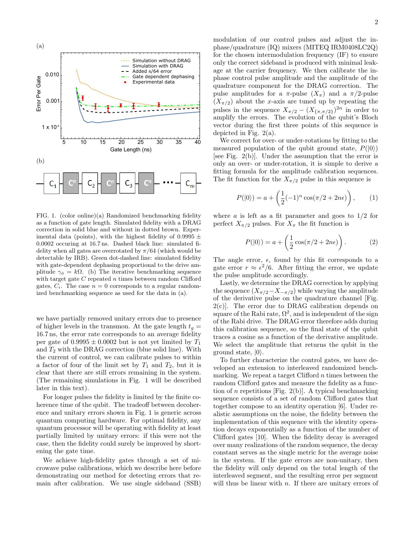

FIG. 1. (color online)(a) Randomized benchmarking fidelity as a function of gate length. Simulated fidelity with a DRAG correction in solid blue and without in dotted brown. Experimental data (points), with the highest fidelity of  $0.9995 \pm$ 0.0002 occuring at 16.7 ns. Dashed black line: simulated fidelity when all gates are overrotated by  $\pi/64$  (which would be detectable by IRB). Green dot-dashed line: simulated fidelity with gate-dependent dephasing proportional to the drive amplitude  $\gamma_{\phi} = k\Omega$ . (b) The iterative benchmarking sequence with target gate  $C$  repeated  $n$  times between random Clifford gates,  $C_i$ . The case  $n = 0$  corresponds to a regular randomized benchmarking sequence as used for the data in (a).

we have partially removed unitary errors due to presence of higher levels in the transmon. At the gate length  $t_q =$ 16.7 ns, the error rate corresponds to an average fidelity per gate of  $0.9995 \pm 0.0002$  but is not yet limited by  $T_1$ and  $T_2$  with the DRAG correction (blue solid line). With the current of control, we can calibrate pulses to within a factor of four of the limit set by  $T_1$  and  $T_2$ , but it is clear that there are still errors remaining in the system. (The remaining simulations in Fig. 1 will be described later in this text).

For longer pulses the fidelity is limited by the finite coherence time of the qubit. The tradeoff between decoherence and unitary errors shown in Fig. 1 is generic across quantum computing hardware. For optimal fidelity, any quantum processor will be operating with fidelity at least partially limited by unitary errors: if this were not the case, then the fidelity could surely be improved by shortening the gate time.

We achieve high-fidelity gates through a set of microwave pulse calibrations, which we describe here before demonstrating our method for detecting errors that remain after calibration. We use single sideband (SSB)

modulation of our control pulses and adjust the inphase/quadrature (IQ) mixers (MITEQ IRM0408LC2Q) for the chosen intermodulation frequency (IF) to ensure only the correct sideband is produced with minimal leakage at the carrier frequency. We then calibrate the inphase control pulse amplitude and the amplitude of the quadrature component for the DRAG correction. The pulse amplitudes for a  $\pi$ -pulse  $(X_{\pi})$  and a  $\pi/2$ -pulse  $(X_{\pi/2})$  about the x-axis are tuned up by repeating the pulses in the sequence  $X_{\pi/2} - (X_{\{\pi,\pi/2\}})^{2n}$  in order to amplify the errors. The evolution of the qubit's Bloch vector during the first three points of this sequence is depicted in Fig. 2(a).

We correct for over- or under-rotations by fitting to the measured population of the qubit ground state,  $P(|0\rangle)$ [see Fig. 2(b)]. Under the assumption that the error is only an over- or under-rotation, it is simple to derive a fitting formula for the amplitude calibration sequences. The fit function for the  $X_{\pi/2}$  pulse in this sequence is

$$
P(|0\rangle) = a + \left(\frac{1}{2}(-1)^n \cos(\pi/2 + 2n\epsilon)\right), \qquad (1)
$$

where  $\alpha$  is left as a fit parameter and goes to  $1/2$  for perfect  $X_{\pi/2}$  pulses. For  $X_{\pi}$  the fit function is

$$
P(|0\rangle) = a + \left(\frac{1}{2}\cos(\pi/2 + 2n\epsilon)\right). \tag{2}
$$

The angle error,  $\epsilon$ , found by this fit corresponds to a gate error  $r \approx \epsilon^2/6$ . After fitting the error, we update the pulse amplitude accordingly.

Lastly, we determine the DRAG correction by applying the sequence  $(X_{\pi/2}-X_{-\pi/2})$  while varying the amplitude of the derivative pulse on the quadrature channel [Fig.  $2(c)$ . The error due to DRAG calibration depends on square of the Rabi rate,  $\Omega^2$ , and is independent of the sign of the Rabi drive. The DRAG error therefore adds during this calibration sequence, so the final state of the qubit traces a cosine as a function of the derivative amplitude. We select the amplitude that returns the qubit in the ground state,  $|0\rangle$ .

To further characterize the control gates, we have developed an extension to interleaved randomized benchmarking. We repeat a target Clifford  $n$  times between the random Clifford gates and measure the fidelity as a function of  $n$  repetitions [Fig. 2(b)]. A typical benchmarking sequence consists of a set of random Clifford gates that together compose to an identity operation [6]. Under realistic assumptions on the noise, the fidelity between the implementation of this sequence with the identity operation decays exponentially as a function of the number of Clifford gates [10]. When the fidelity decay is averaged over many realizations of the random sequence, the decay constant serves as the single metric for the average noise in the system. If the gate errors are non-unitary, then the fidelity will only depend on the total length of the interleaved segment, and the resulting error per segment will thus be linear with  $n$ . If there are unitary errors of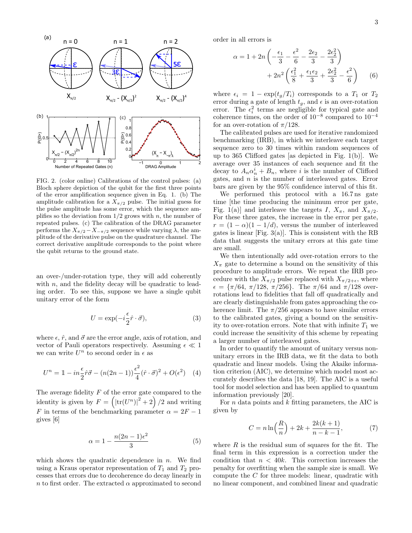

FIG. 2. (color online) Calibrations of the control pulses: (a) Bloch sphere depiction of the qubit for the first three points of the error amplification sequence given in Eq. 1. (b) The amplitude calibration for a  $X_{\pi/2}$  pulse. The initial guess for the pulse amplitude has some error, which the sequence amplifies so the deviation from  $1/2$  grows with n, the number of repeated pulses. (c) The calibration of the DRAG parameter performs the  $X_{\pi/2}-X_{-\pi/2}$  sequence while varying  $\lambda$ , the amplitude of the derivative pulse on the quadrature channel. The correct derivative amplitude corresponds to the point where the qubit returns to the ground state.

an over-/under-rotation type, they will add coherently with  $n$ , and the fidelity decay will be quadratic to leading order. To see this, suppose we have a single qubit unitary error of the form

$$
U = \exp(-i\frac{\epsilon}{2}\hat{r}\cdot\vec{\sigma}),\tag{3}
$$

where  $\epsilon$ ,  $\hat{r}$ , and  $\vec{\sigma}$  are the error angle, axis of rotation, and vector of Pauli operators respectively. Assuming  $\epsilon \ll 1$ we can write  $U^n$  to second order in  $\epsilon$  as

$$
U^{n} = 1 - in\frac{\epsilon}{2}\hat{r}\vec{\sigma} - (n(2n - 1))\frac{\epsilon^{2}}{4}(\hat{r}\cdot\vec{\sigma})^{2} + O(\epsilon^{2}) \quad (4)
$$

The average fidelity  $F$  of the error gate compared to the identity is given by  $F = \left( |\text{tr}(U^n)|^2 + 2 \right) / 2$  and writing F in terms of the benchmarking parameter  $\alpha = 2F - 1$ gives [6]

$$
\alpha = 1 - \frac{n(2n - 1)\epsilon^2}{3} \tag{5}
$$

which shows the quadratic dependence in  $n$ . We find using a Kraus operator representation of  $T_1$  and  $T_2$  processes that errors due to decoherence do decay linearly in n to first order. The extracted  $\alpha$  approximated to second order in all errors is

$$
\alpha = 1 + 2n \left( -\frac{\epsilon_1}{3} - \frac{\epsilon^2}{6} - \frac{2\epsilon_2}{3} - \frac{2\epsilon_2^2}{3} \right) + 2n^2 \left( \frac{\epsilon_1^2}{8} + \frac{\epsilon_1 \epsilon_2}{3} + \frac{2\epsilon_2^2}{3} - \frac{\epsilon^2}{6} \right) \tag{6}
$$

where  $\epsilon_i = 1 - \exp(t_g/T_i)$  corresponds to a  $T_1$  or  $T_2$ error during a gate of length  $t<sub>g</sub>$ , and  $\epsilon$  is an over-rotation error. The  $\epsilon_i^2$  terms are negligible for typical gate and coherence times, on the order of  $10^{-8}$  compared to  $10^{-4}$ for an over-rotation of  $\pi/128$ .

The calibrated pulses are used for iterative randomized benchmarking (IRB), in which we interleave each target sequence zero to 30 times within random sequences of up to 365 Clifford gates [as depicted in Fig. 1(b)]. We average over 35 instances of each sequence and fit the decay to  $A_n \alpha_n^i + B_n$ , where *i* is the number of Clifford gates, and  $n$  is the number of interleaved gates. Error bars are given by the 95% confidence interval of this fit.

We performed this protocol with a 16.7 ns gate time [the time producing the minimum error per gate, Fig. 1(a)] and interleave the targets I,  $X_{\pi}$ , and  $X_{\pi/2}$ . For these three gates, the increase in the error per gate,  $r = (1 - \alpha)(1 - 1/d)$ , versus the number of interleaved gates is linear  $[Fig. 3(a)].$  This is consistent with the RB data that suggests the unitary errors at this gate time are small.

We then intentionally add over-rotation errors to the  $X_\pi$  gate to determine a bound on the sensitivity of this procedure to amplitude errors. We repeat the IRB procedure with the  $X_{\pi/2}$  pulse replaced with  $X_{\pi/2+\epsilon}$ , where  $\epsilon = {\pi/64, \pi/128, \pi/256}$ . The  $\pi/64$  and  $\pi/128$  overrotations lead to fidelities that fall off quadratically and are clearly distinguishable from gates approaching the coherence limit. The  $\pi/256$  appears to have similar errors to the calibrated gates, giving a bound on the sensitivity to over-rotation errors. Note that with infinite  $T_1$  we could increase the sensitivity of this scheme by repeating a larger number of interleaved gates.

In order to quantify the amount of unitary versus nonunitary errors in the IRB data, we fit the data to both quadratic and linear models. Using the Akaike information criterion (AIC), we determine which model most accurately describes the data [18, 19]. The AIC is a useful tool for model selection and has been applied to quantum information previously [20].

For  $n$  data points and  $k$  fitting parameters, the AIC is given by

$$
C = n \ln\left(\frac{R}{n}\right) + 2k + \frac{2k(k+1)}{n-k-1},
$$
 (7)

where  $R$  is the residual sum of squares for the fit. The final term in this expression is a correction under the condition that  $n < 40k$ . This correction increases the penalty for overfitting when the sample size is small. We compute the C for three models: linear, quadratic with no linear component, and combined linear and quadratic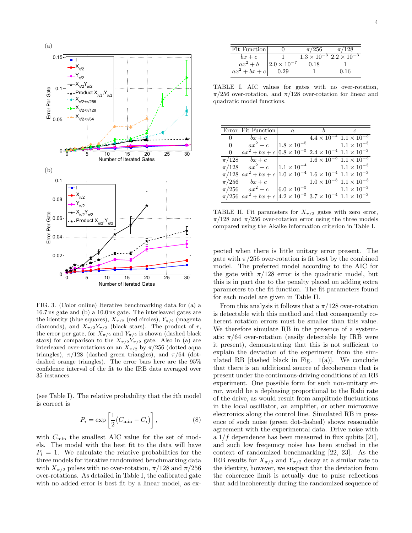

FIG. 3. (Color online) Iterative benchmarking data for (a) a 16.7 ns gate and (b) a 10.0 ns gate. The interleaved gates are the identity (blue squares),  $X_{\pi/2}$  (red circles),  $Y_{\pi/2}$  (magenta diamonds), and  $X_{\pi/2}Y_{\pi/2}$  (black stars). The product of r, the error per gate, for  $X_{\pi/2}$  and  $Y_{\pi/2}$  is shown (dashed black stars) for comparison to the  $X_{\pi/2}Y_{\pi/2}$  gate. Also in (a) are interleaved over-rotations on an  $X_{\pi/2}$  by  $\pi/256$  (dotted aqua triangles),  $\pi/128$  (dashed green triangles), and  $\pi/64$  (dotdashed orange triangles). The error bars here are the 95% confidence interval of the fit to the IRB data averaged over 35 instances.

(see Table I). The relative probability that the ith model is correct is

$$
P_i = \exp\left[\frac{1}{2}(C_{\min} - C_i)\right],\tag{8}
$$

with  $C_{\text{min}}$  the smallest AIC value for the set of models. The model with the best fit to the data will have  $P_i = 1$ . We calculate the relative probabilities for the three models for iterative randomized benchmarking data with  $X_{\pi/2}$  pulses with no over-rotation,  $\pi/128$  and  $\pi/256$ over-rotations. As detailed in Table I, the calibrated gate with no added error is best fit by a linear model, as ex-

| Fit Function    |                        | $\pi/256$                                 | $\pi/128$ |
|-----------------|------------------------|-------------------------------------------|-----------|
| $bx+c$          |                        | $1.3 \times 10^{-3}$ $2.2 \times 10^{-3}$ |           |
| $ax^2+b$        | $ 2.0 \times 10^{-7} $ | 0.18                                      |           |
| $ax^2 + bx + c$ | 0.29                   |                                           | 0.16      |

TABLE I. AIC values for gates with no over-rotation,  $\pi/256$  over-rotation, and  $\pi/128$  over-rotation for linear and quadratic model functions.

|                | Error Fit Function                                                                                      | $\overline{a}$       |                                            |                                           |
|----------------|---------------------------------------------------------------------------------------------------------|----------------------|--------------------------------------------|-------------------------------------------|
| $\overline{0}$ | $bx+c$                                                                                                  |                      |                                            | $4.4 \times 10^{-4}$ $1.1 \times 10^{-3}$ |
| $\Omega$       | $ax^2+c$                                                                                                | $1.8 \times 10^{-5}$ | $1.1 \times 10^{-3}$                       |                                           |
| $\Omega$       | $ax^{2} + bx + c \big  0.8 \times 10^{-5}$ $2.4 \times 10^{-4}$ $1.1 \times 10^{-3}$                    |                      |                                            |                                           |
| $\pi/128$      | $bx+c$                                                                                                  |                      |                                            | $1.6 \times 10^{-3}$ $1.1 \times 10^{-3}$ |
|                | $\pi/128$ $ax^2+c$                                                                                      |                      | $1.1 \times 10^{-4}$ $1.1 \times 10^{-3}$  |                                           |
|                | $\pi/128  ax^2 + bx + c  1.0 \times 10^{-4} 1.6 \times 10^{-4} 1.1 \times 10^{-3}$                      |                      |                                            |                                           |
|                | $\pi/256$ $bx + c$                                                                                      |                      |                                            | $1.0 \times 10^{-3}$ $1.1 \times 10^{-3}$ |
|                | $\pi/256$ $ax^2+c$                                                                                      |                      | $ 6.0 \times 10^{-5}$ $1.1 \times 10^{-3}$ |                                           |
|                | $\pi/256\,\big \,a x^2 + b x + c\,\big \,4.2\times 10^{-5}\,$ $3.7\times 10^{-4}\,$ $1.1\times 10^{-3}$ |                      |                                            |                                           |

TABLE II. Fit parameters for  $X_{\pi/2}$  gates with zero error,  $\pi/128$  and  $\pi/256$  over-rotation error using the three models compared using the Akaike information criterion in Table I.

pected when there is little unitary error present. The gate with  $\pi/256$  over-rotation is fit best by the combined model. The preferred model according to the AIC for the gate with  $\pi/128$  error is the quadratic model, but this is in part due to the penalty placed on adding extra parameters to the fit function. The fit parameters found for each model are given in Table II.

From this analysis it follows that a  $\pi/128$  over-rotation is detectable with this method and that consequently coherent rotation errors must be smaller than this value. We therefore simulate RB in the presence of a systematic  $\pi/64$  over-rotation (easily detectable by IRB were it present), demonstrating that this is not sufficient to explain the deviation of the experiment from the simulated RB [dashed black in Fig.  $1(a)$ ]. We conclude that there is an additional source of decoherence that is present under the continuous-driving conditions of an RB experiment. One possible form for such non-unitary error, would be a dephasing proportional to the Rabi rate of the drive, as would result from amplitude fluctuations in the local oscillator, an amplifier, or other microwave electronics along the control line. Simulated RB in presence of such noise (green dot-dashed) shows reasonable agreement with the experimental data. Drive noise with a  $1/f$  dependence has been measured in flux qubits [21], and such low freqeuncy noise has been studied in the context of randomized benchmarking [22, 23]. As the IRB results for  $X_{\pi/2}$  and  $Y_{\pi/2}$  decay at a similar rate to the identity, however, we suspect that the deviation from the coherence limit is actually due to pulse reflections that add incoherently during the randomized sequence of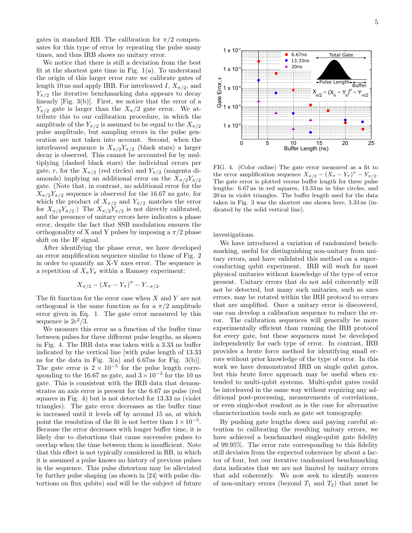gates in standard RB. The calibration for  $\pi/2$  compensates for this type of error by repeating the pulse many times, and thus IRB shows no unitary error.

We notice that there is still a deviation from the best fit at the shortest gate time in Fig.  $1(a)$ . To understand the origin of this larger error rate we calibrate gates of length 10 ns and apply IRB. For interleaved I,  $X_{\pi/2}$ , and  $Y_{\pi/2}$  the iterative benchmarking data appears to decay linearly [Fig. 3(b)]. First, we notice that the error of a  $Y_{\pi/2}$  gate is larger than the  $X_{\pi/2}$  gate error. We attribute this to our calibration procedure, in which the amplitude of the  $Y_{\pi/2}$  is assumed to be equal to the  $X_{\pi/2}$ pulse amplitude, but sampling errors in the pulse generation are not taken into account. Second, when the interleaved sequence is  $X_{\pi/2}Y_{\pi/2}$  (black stars) a larger decay is observed. This cannot be accounted for by multiplying (dashed black stars) the individual errors per gate, r, for the  $X_{\pi/2}$  (red circles) and  $Y_{\pi/2}$  (magenta diamonds) implying an additional error on the  $X_{\pi/2}Y_{\pi/2}$ gate. (Note that, in contrast, no additional error for the  $X_{\pi/2}Y_{\pi/2}$  sequence is observed for the 16.67 ns gate, for which the product of  $X_{\pi/2}$  and  $Y_{\pi/2}$  matches the error for  $X_{\pi/2}Y_{\pi/2}$ .) The  $X_{\pi/2}Y_{\pi/2}$  is not directly calibrated, and the presence of unitary errors here indicates a phase error, despite the fact that SSB modulation ensures the orthogonality of X and Y pulses by imposing a  $\pi/2$  phase shift on the IF signal.

After identifying the phase error, we have developed an error amplification sequence similar to those of Fig. 2 in order to quantify an X-Y axes error. The sequence is a repetition of  $X_{\pi}Y_{\pi}$  within a Ramsey experiment:

$$
X_{\pi/2} - (X_{\pi} - Y_{\pi})^n - Y_{-\pi/2}.
$$

The fit function for the error case when X and Y are not orthogonal is the same function as for a  $\pi/2$  amplitude error given in Eq. 1. The gate error measured by this sequence is  $2\epsilon^2/3$ .

We measure this error as a function of the buffer time between pulses for three different pulse lengths, as shown in Fig. 4. The IRB data was taken with a 3.33 ns buffer indicated by the vertical line [with pulse length of 13.33 ns for the data in Fig.  $3(a)$  and 6.67ns for Fig.  $3(b)$ . The gate error is  $2 \times 10^{-5}$  for the pulse length corresponding to the 16.67 ns gate, and  $3 \times 10^{-3}$  for the 10 ns gate. This is consistent with the IRB data that demonstrates an axis error is present for the 6.67 ns pulse (red squares in Fig. 4) but is not detected for 13.33 ns (violet triangles). The gate error decreases as the buffer time is increased until it levels off by around 15 ns, at which point the resolution of the fit is not better than  $1 \times 10^{-5}$ . Because the error decreases with longer buffer time, it is likely due to distortions that cause successive pulses to overlap when the time between them is insufficient. Note that this effect is not typically considered in RB, in which it is assumed a pulse knows no history of previous pulses in the sequence. This pulse distortion may be alleviated by further pulse shaping (as shown in [24] with pulse distortions on flux qubits) and will be the subject of future



FIG. 4. (Color online) The gate error measured as a fit to the error amplification sequence  $X_{\pi/2} - (X_{\pi} - Y_{\pi})^n - Y_{\pi/2}$ . The gate error is plotted versus buffer length for three pulse lengths: 6.67 ns in red squares, 13.33 ns in blue circles, and 20 ns in violet triangles. The buffer length used for the data taken in Fig. 3 was the shortest one shown here, 3.33 ns (indicated by the solid vertical line).

investigations.

We have introduced a variation of randomized benchmarking, useful for distinguishing non-unitary from unitary errors, and have validated this method on a superconducting qubit experiment. IRB will work for most physical unitaries without knowledge of the type of error present. Unitary errors that do not add coherently will not be detected, but many such unitaries, such as axes errors, may be rotated within the IRB protocol to errors that are amplified. Once a unitary error is discovered, one can develop a calibration sequence to reduce the error. The calibration sequences will generally be more experimentally efficient than running the IRB protocol for every gate, but these sequences must be developed independently for each type of error. In contrast, IRB provides a brute force method for identifying small errors without prior knowledge of the type of error. In this work we have demonstrated IRB on single qubit gates, but this brute force approach may be useful when extended to multi-qubit systems. Multi-qubit gates could be interleaved in the same way without requiring any additional post-processing, measurements of correlations, or even single-shot readout as is the case for alternative characterization tools such as gate set tomography.

By pushing gate lengths down and paying careful attention to calibrating the resulting unitary errors, we have achieved a benchmarked single-qubit gate fidelity of 99.95%. The error rate corresponding to this fidelity still deviates from the expected coherence by about a factor of four, but our iterative randomized benchmarking data indicates that we are not limited by unitary errors that add coherently. We now seek to identify sources of non-unitary errors (beyond  $T_1$  and  $T_2$ ) that must be